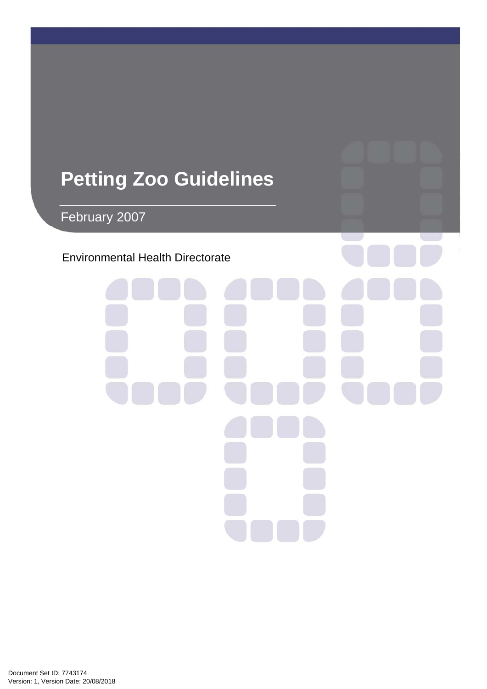# **Petting Zoo Guidelines**

February 2007

# Environmental Health Directorate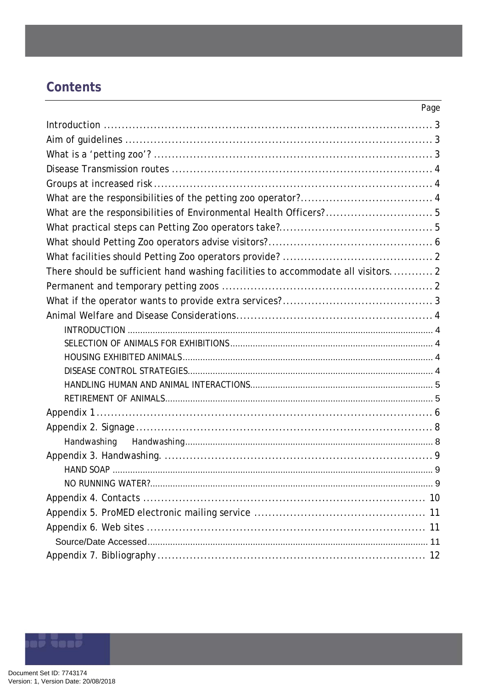# Contents

|                                                                                  | Page |
|----------------------------------------------------------------------------------|------|
|                                                                                  |      |
|                                                                                  |      |
|                                                                                  |      |
|                                                                                  |      |
|                                                                                  |      |
|                                                                                  |      |
| What are the responsibilities of Environmental Health Officers?5                 |      |
|                                                                                  |      |
|                                                                                  |      |
|                                                                                  |      |
| There should be sufficient hand washing facilities to accommodate all visitors 2 |      |
|                                                                                  |      |
|                                                                                  |      |
|                                                                                  |      |
|                                                                                  |      |
|                                                                                  |      |
|                                                                                  |      |
|                                                                                  |      |
|                                                                                  |      |
|                                                                                  |      |
|                                                                                  |      |
|                                                                                  |      |
|                                                                                  |      |
|                                                                                  |      |
|                                                                                  |      |
|                                                                                  |      |
|                                                                                  |      |
|                                                                                  |      |
|                                                                                  |      |
|                                                                                  |      |
|                                                                                  |      |

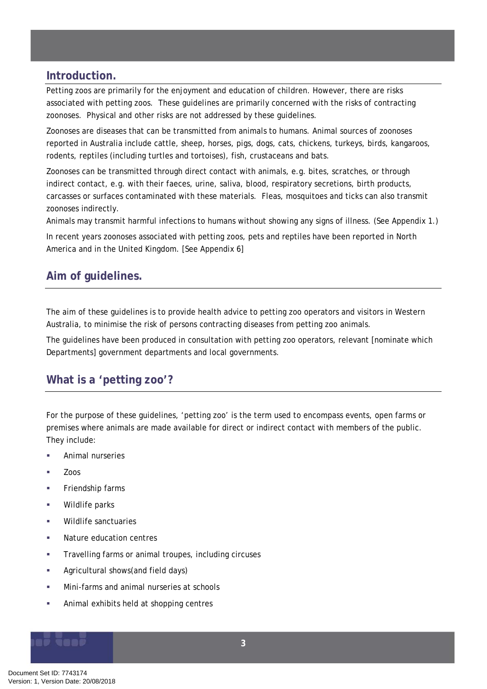### <span id="page-2-0"></span>**Introduction.**

Petting zoos are primarily for the enjoyment and education of children. However, there are risks associated with petting zoos. These guidelines are primarily concerned with the risks of contracting zoonoses. Physical and other risks are not addressed by these guidelines.

Zoonoses are diseases that can be transmitted from animals to humans. Animal sources of zoonoses reported in Australia include cattle, sheep, horses, pigs, dogs, cats, chickens, turkeys, birds, kangaroos, rodents, reptiles (including turtles and tortoises), fish, crustaceans and bats.

Zoonoses can be transmitted through direct contact with animals, e.g. bites, scratches, or through indirect contact, e.g. with their faeces, urine, saliva, blood, respiratory secretions, birth products, carcasses or surfaces contaminated with these materials. Fleas, mosquitoes and ticks can also transmit zoonoses indirectly.

Animals may transmit harmful infections to humans without showing any signs of illness. (See Appendix 1.)

In recent years zoonoses associated with petting zoos, pets and reptiles have been reported in North America and in the United Kingdom. [See Appendix 6]

# **Aim of guidelines.**

The aim of these guidelines is to provide health advice to petting zoo operators and visitors in Western Australia, to minimise the risk of persons contracting diseases from petting zoo animals.

The guidelines have been produced in consultation with petting zoo operators, relevant [nominate which Departments] government departments and local governments.

### **What is a 'petting zoo'?**

For the purpose of these guidelines, 'petting zoo' is the term used to encompass events, open farms or premises where animals are made available for direct or indirect contact with members of the public. They include:

- Animal nurseries
- Zoos
- **Friendship farms**
- **Wildlife parks**
- Wildlife sanctuaries
- Nature education centres
- **Travelling farms or animal troupes, including circuses**
- **Agricultural shows(and field days)**
- **Mini-farms and animal nurseries at schools**
- **Animal exhibits held at shopping centres**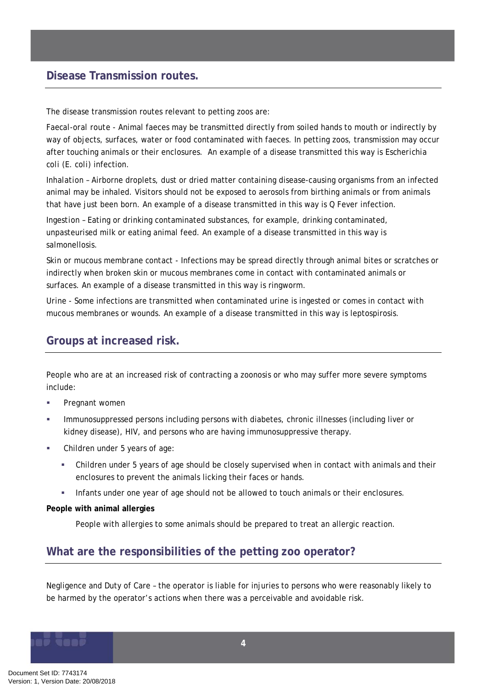### <span id="page-3-0"></span>**Disease Transmission routes.**

The disease transmission routes relevant to petting zoos are:

*Faecal-oral route -* Animal faeces may be transmitted directly from soiled hands to mouth or indirectly by way of objects, surfaces, water or food contaminated with faeces. In petting zoos, transmission may occur after touching animals or their enclosures. An example of a disease transmitted this way is *Escherichia coli* (*E. coli*) infection.

*Inhalation –* Airborne droplets, dust or dried matter containing disease-causing organisms from an infected animal may be inhaled. Visitors should not be exposed to aerosols from birthing animals or from animals that have just been born. An example of a disease transmitted in this way is Q Fever infection.

*Ingestion –* Eating or drinking contaminated substances, for example, drinking contaminated, unpasteurised milk or eating animal feed. An example of a disease transmitted in this way is salmonellosis.

*Skin or mucous membrane contact* - Infections may be spread directly through animal bites or scratches or indirectly when broken skin or mucous membranes come in contact with contaminated animals or surfaces. An example of a disease transmitted in this way is ringworm.

*Urine -* Some infections are transmitted when contaminated urine is ingested or comes in contact with mucous membranes or wounds. An example of a disease transmitted in this way is leptospirosis.

# **Groups at increased risk.**

People who are at an increased risk of contracting a zoonosis or who may suffer more severe symptoms include:

- **Pregnant women**
- Immunosuppressed persons including persons with diabetes, chronic illnesses (including liver or kidney disease), HIV, and persons who are having immunosuppressive therapy.
- Children under 5 years of age:
	- Children under 5 years of age should be closely supervised when in contact with animals and their enclosures to prevent the animals licking their faces or hands.
	- Infants under one year of age should not be allowed to touch animals or their enclosures.

#### **People with animal allergies**

People with allergies to some animals should be prepared to treat an allergic reaction.

## **What are the responsibilities of the petting zoo operator?**

Negligence and Duty of Care – the operator is liable for injuries to persons who were reasonably likely to be harmed by the operator's actions when there was a perceivable and avoidable risk.

Document Set ID: 7743174<br>Version: 1, Version Date: 20/08/2018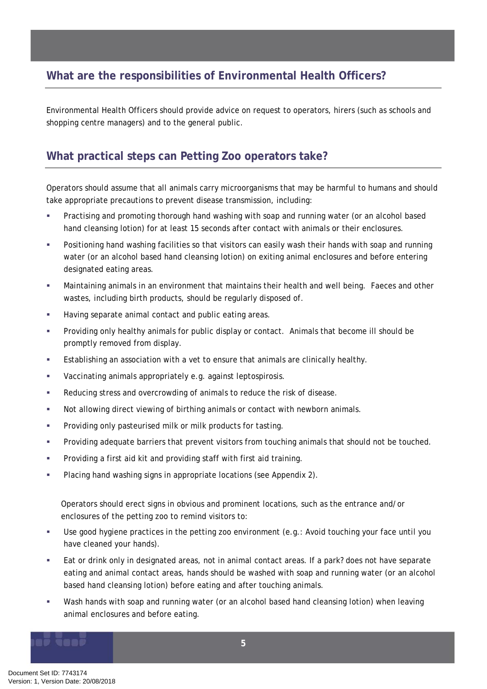# <span id="page-4-0"></span>**What are the responsibilities of Environmental Health Officers?**

Environmental Health Officers should provide advice on request to operators, hirers (such as schools and shopping centre managers) and to the general public.

# **What practical steps can Petting Zoo operators take?**

Operators should assume that all animals carry microorganisms that may be harmful to humans and should take appropriate precautions to prevent disease transmission, including:

- Practising and promoting thorough hand washing with soap and running water (or an alcohol based hand cleansing lotion) for at least 15 seconds after contact with animals or their enclosures.
- Positioning hand washing facilities so that visitors can easily wash their hands with soap and running water (or an alcohol based hand cleansing lotion) on exiting animal enclosures and before entering designated eating areas.
- Maintaining animals in an environment that maintains their health and well being. Faeces and other wastes, including birth products, should be regularly disposed of.
- **Having separate animal contact and public eating areas.**
- Providing only healthy animals for public display or contact. Animals that become ill should be promptly removed from display.
- Establishing an association with a vet to ensure that animals are clinically healthy.
- Vaccinating animals appropriately e.g. against leptospirosis.
- Reducing stress and overcrowding of animals to reduce the risk of disease.
- Not allowing direct viewing of birthing animals or contact with newborn animals.
- **Providing only pasteurised milk or milk products for tasting.**
- Providing adequate barriers that prevent visitors from touching animals that should not be touched.
- **•** Providing a first aid kit and providing staff with first aid training.
- **Placing hand washing signs in appropriate locations (see Appendix 2).**

Operators should erect signs in obvious and prominent locations, such as the entrance and/or enclosures of the petting zoo to remind visitors to:

- Use good hygiene practices in the petting zoo environment (e.g.: Avoid touching your face until you have cleaned your hands).
- Eat or drink only in designated areas, not in animal contact areas. If a park? does not have separate eating and animal contact areas, hands should be washed with soap and running water (or an alcohol based hand cleansing lotion) before eating and after touching animals.
- Wash hands with soap and running water (or an alcohol based hand cleansing lotion) when leaving animal enclosures and before eating.

**5**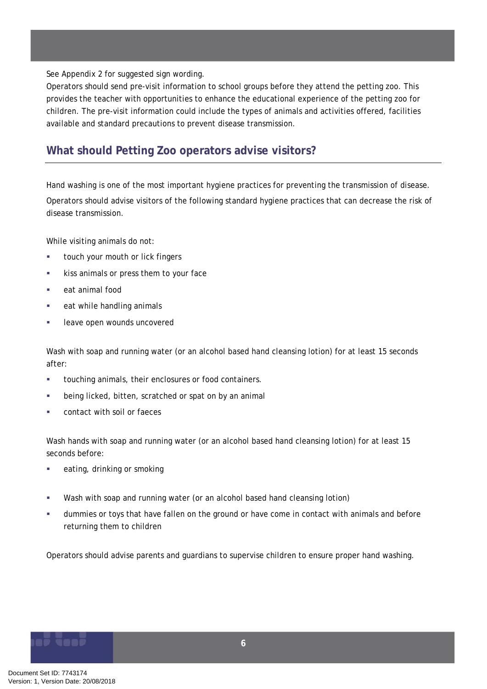<span id="page-5-0"></span>See Appendix 2 for suggested sign wording.

Operators should send pre-visit information to school groups before they attend the petting zoo. This provides the teacher with opportunities to enhance the educational experience of the petting zoo for children. The pre-visit information could include the types of animals and activities offered, facilities available and standard precautions to prevent disease transmission.

# **What should Petting Zoo operators advise visitors?**

Hand washing is one of the most important hygiene practices for preventing the transmission of disease. Operators should advise visitors of the following standard hygiene practices that can decrease the risk of disease transmission.

While visiting animals do not:

- **touch your mouth or lick fingers**
- **kiss animals or press them to your face**
- eat animal food
- **EXECUTE:** eat while handling animals
- **Example 20 Figure 20 Figure 20 Figure 20 Figure 20 Figure 20 Figure 20 Figure 20 Figure 20 Figure 20 Figure 20 Figure 20 Figure 20 Figure 20 Figure 20 Figure 20 Figure 20 Figure 20 Figure 20 Figure 20 Figure 20 Figure 20**

Wash with soap and running water (or an alcohol based hand cleansing lotion) for at least 15 seconds after:

- touching animals, their enclosures or food containers.
- **EXECT** being licked, bitten, scratched or spat on by an animal
- contact with soil or faeces

Wash hands with soap and running water (or an alcohol based hand cleansing lotion) for at least 15 seconds before:

- eating, drinking or smoking
- Wash with soap and running water (or an alcohol based hand cleansing lotion)
- dummies or toys that have fallen on the ground or have come in contact with animals and before returning them to children

Operators should advise parents and guardians to supervise children to ensure proper hand washing.

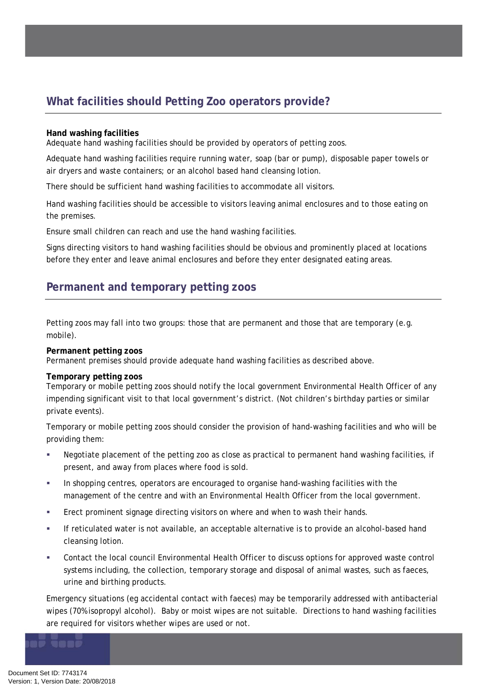# <span id="page-6-0"></span>**What facilities should Petting Zoo operators provide?**

#### **Hand washing facilities**

Adequate hand washing facilities should be provided by operators of petting zoos.

Adequate hand washing facilities require running water, soap (bar or pump), disposable paper towels or air dryers and waste containers; or an alcohol based hand cleansing lotion.

There should be sufficient hand washing facilities to accommodate all visitors.

Hand washing facilities should be accessible to visitors leaving animal enclosures and to those eating on the premises.

Ensure small children can reach and use the hand washing facilities.

Signs directing visitors to hand washing facilities should be obvious and prominently placed at locations before they enter and leave animal enclosures and before they enter designated eating areas.

### **Permanent and temporary petting zoos**

Petting zoos may fall into two groups: those that are permanent and those that are temporary (e.g. mobile).

#### **Permanent petting zoos**

Permanent premises should provide adequate hand washing facilities as described above.

#### **Temporary petting zoos**

Temporary or mobile petting zoos should notify the local government Environmental Health Officer of any impending significant visit to that local government's district. (Not children's birthday parties or similar private events).

Temporary or mobile petting zoos should consider the provision of hand-washing facilities and who will be providing them:

- Negotiate placement of the petting zoo as close as practical to permanent hand washing facilities, if present, and away from places where food is sold.
- In shopping centres, operators are encouraged to organise hand-washing facilities with the management of the centre and with an Environmental Health Officer from the local government.
- Erect prominent signage directing visitors on where and when to wash their hands.
- If reticulated water is not available, an acceptable alternative is to provide an alcohol-based hand cleansing lotion.
- Contact the local council Environmental Health Officer to discuss options for approved waste control systems including, the collection, temporary storage and disposal of animal wastes, such as faeces, urine and birthing products.

Emergency situations (eg accidental contact with faeces) may be temporarily addressed with antibacterial wipes (70% isopropyl alcohol). Baby or moist wipes are not suitable. Directions to hand washing facilities are required for visitors whether wipes are used or not.

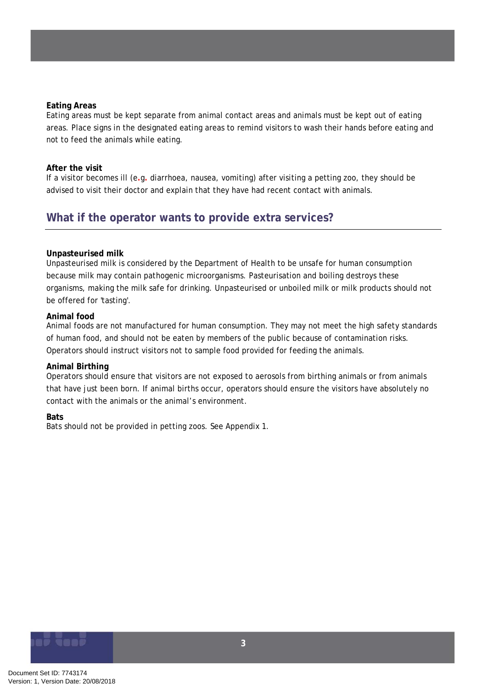#### <span id="page-7-0"></span>**Eating Areas**

Eating areas must be kept separate from animal contact areas and animals must be kept out of eating areas. Place signs in the designated eating areas to remind visitors to wash their hands before eating and not to feed the animals while eating.

#### **After the visit**

If a visitor becomes ill (e**.**g**.** diarrhoea, nausea, vomiting) after visiting a petting zoo, they should be advised to visit their doctor and explain that they have had recent contact with animals.

### **What if the operator wants to provide extra services?**

#### **Unpasteurised milk**

Unpasteurised milk is considered by the Department of Health to be unsafe for human consumption because milk may contain pathogenic microorganisms. Pasteurisation and boiling destroys these organisms, making the milk safe for drinking. Unpasteurised or unboiled milk or milk products should not be offered for 'tasting'.

#### **Animal food**

Animal foods are not manufactured for human consumption. They may not meet the high safety standards of human food, and should not be eaten by members of the public because of contamination risks. Operators should instruct visitors not to sample food provided for feeding the animals.

#### **Animal Birthing**

Operators should ensure that visitors are not exposed to aerosols from birthing animals or from animals that have just been born. If animal births occur, operators should ensure the visitors have absolutely no contact with the animals or the animal's environment.

#### **Bats**

Bats should not be provided in petting zoos. See Appendix 1.

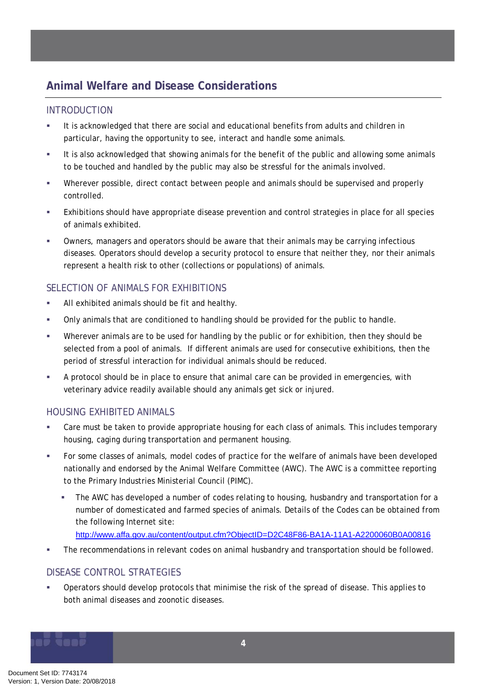# <span id="page-8-0"></span>**Animal Welfare and Disease Considerations**

#### INTRODUCTION

- It is acknowledged that there are social and educational benefits from adults and children in particular, having the opportunity to see, interact and handle some animals.
- It is also acknowledged that showing animals for the benefit of the public and allowing some animals to be touched and handled by the public may also be stressful for the animals involved.
- Wherever possible, direct contact between people and animals should be supervised and properly controlled.
- Exhibitions should have appropriate disease prevention and control strategies in place for all species of animals exhibited.
- Owners, managers and operators should be aware that their animals may be carrying infectious diseases. Operators should develop a security protocol to ensure that neither they, nor their animals represent a health risk to other (collections or populations) of animals.

#### SELECTION OF ANIMALS FOR EXHIBITIONS

- All exhibited animals should be fit and healthy.
- Only animals that are conditioned to handling should be provided for the public to handle.
- Wherever animals are to be used for handling by the public or for exhibition, then they should be selected from a pool of animals. If different animals are used for consecutive exhibitions, then the period of stressful interaction for individual animals should be reduced.
- A protocol should be in place to ensure that animal care can be provided in emergencies, with veterinary advice readily available should any animals get sick or injured.

#### HOUSING EXHIBITED ANIMALS

- Care must be taken to provide appropriate housing for each class of animals. This includes temporary housing, caging during transportation and permanent housing.
- For some classes of animals, model codes of practice for the welfare of animals have been developed nationally and endorsed by the Animal Welfare Committee (AWC). The AWC is a committee reporting to the Primary Industries Ministerial Council (PIMC).
	- The AWC has developed a number of codes relating to housing, husbandry and transportation for a number of domesticated and farmed species of animals. Details of the Codes can be obtained from the following Internet site:
	- <http://www.affa.gov.au/content/output.cfm?ObjectID=D2C48F86-BA1A-11A1-A2200060B0A00816>
- **The recommendations in relevant codes on animal husbandry and transportation should be followed.**

#### DISEASE CONTROL STRATEGIES

 Operators should develop protocols that minimise the risk of the spread of disease. This applies to both animal diseases and zoonotic diseases.

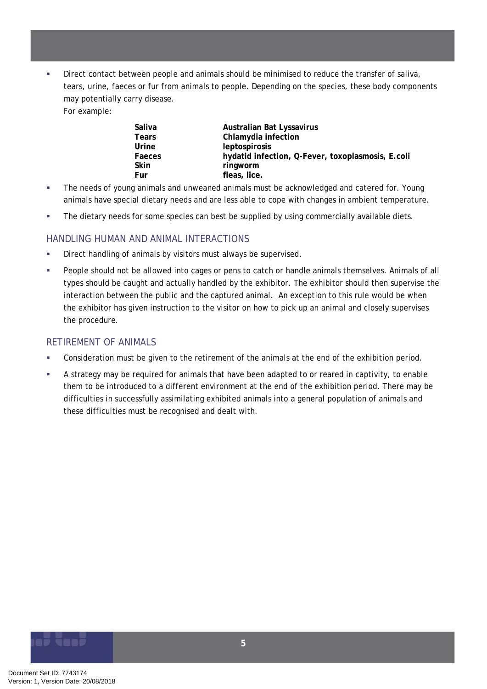<span id="page-9-0"></span> Direct contact between people and animals should be minimised to reduce the transfer of saliva, tears, urine, faeces or fur from animals to people. Depending on the species, these body components may potentially carry disease.

For example:

| Saliva       | Australian Bat Lyssavirus                         |
|--------------|---------------------------------------------------|
| <b>Tears</b> | Chlamydia infection                               |
| Urine        | <i>leptospirosis</i>                              |
| Faeces       | hydatid infection, Q-Fever, toxoplasmosis, E.coli |
| Skin         | ringworm                                          |
| Fur          | fleas, lice.                                      |

- **The needs of young animals and unweaned animals must be acknowledged and catered for. Young** animals have special dietary needs and are less able to cope with changes in ambient temperature.
- **The dietary needs for some species can best be supplied by using commercially available diets.**

#### HANDLING HUMAN AND ANIMAL INTERACTIONS

- **Direct handling of animals by visitors must always be supervised.**
- People should not be allowed into cages or pens to catch or handle animals themselves. Animals of all types should be caught and actually handled by the exhibitor. The exhibitor should then supervise the interaction between the public and the captured animal. An exception to this rule would be when the exhibitor has given instruction to the visitor on how to pick up an animal and closely supervises the procedure.

#### RETIREMENT OF ANIMALS

- Consideration must be given to the retirement of the animals at the end of the exhibition period.
- A strategy may be required for animals that have been adapted to or reared in captivity, to enable them to be introduced to a different environment at the end of the exhibition period. There may be difficulties in successfully assimilating exhibited animals into a general population of animals and these difficulties must be recognised and dealt with.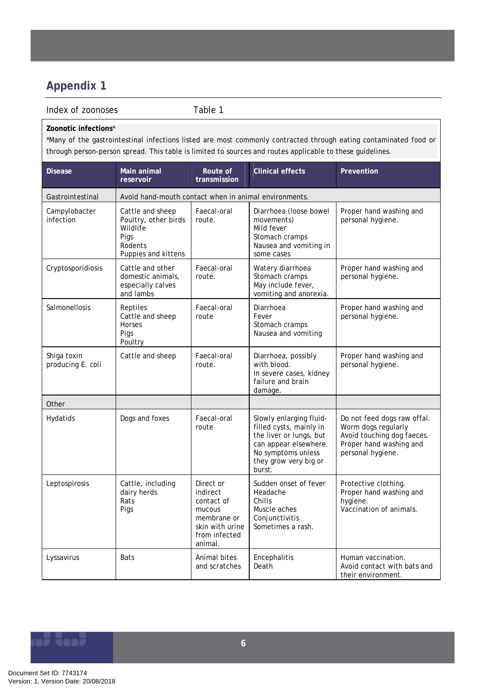# <span id="page-10-0"></span>**Appendix 1**

#### Index of zoonoses Table 1

#### **Zoonotic infections**\*

\*Many of the gastrointestinal infections listed are most commonly contracted through eating contaminated food or through person-person spread. This table is limited to sources and routes applicable to these guidelines.

| <b>Disease</b>                   | Main animal<br>reservoir                                                                       | Route of<br>transmission                                                                                    | Clinical effects                                                                                                                                                | Prevention                                                                                                                       |
|----------------------------------|------------------------------------------------------------------------------------------------|-------------------------------------------------------------------------------------------------------------|-----------------------------------------------------------------------------------------------------------------------------------------------------------------|----------------------------------------------------------------------------------------------------------------------------------|
| Gastrointestinal                 | Avoid hand-mouth contact when in animal environments.                                          |                                                                                                             |                                                                                                                                                                 |                                                                                                                                  |
| Campylobacter<br>infection       | Cattle and sheep<br>Poultry, other birds<br>Wildlife<br>Pigs<br>Rodents<br>Puppies and kittens | Faecal-oral<br>route.                                                                                       | Diarrhoea (loose bowel<br>movements)<br>Mild fever<br>Stomach cramps<br>Nausea and vomiting in<br>some cases                                                    | Proper hand washing and<br>personal hygiene.                                                                                     |
| Cryptosporidiosis                | Cattle and other<br>domestic animals,<br>especially calves<br>and lambs                        | Faecal-oral<br>route.                                                                                       | Watery diarrhoea<br>Stomach cramps<br>May include fever,<br>vomiting and anorexia.                                                                              | Proper hand washing and<br>personal hygiene.                                                                                     |
| Salmonellosis                    | Reptiles<br>Cattle and sheep<br>Horses<br>Pigs<br>Poultry                                      | Faecal-oral<br>route                                                                                        | Diarrhoea<br>Fever<br>Stomach cramps<br>Nausea and vomiting                                                                                                     | Proper hand washing and<br>personal hygiene.                                                                                     |
| Shiga toxin<br>producing E. coli | Cattle and sheep                                                                               | Faecal-oral<br>route.                                                                                       | Diarrhoea, possibly<br>with blood.<br>In severe cases, kidney<br>failure and brain<br>damage.                                                                   | Proper hand washing and<br>personal hygiene.                                                                                     |
| Other                            |                                                                                                |                                                                                                             |                                                                                                                                                                 |                                                                                                                                  |
| Hydatids                         | Dogs and foxes                                                                                 | Faecal-oral<br>route                                                                                        | Slowly enlarging fluid-<br>filled cysts, mainly in<br>the liver or lungs, but<br>can appear elsewhere.<br>No symptoms unless<br>they grow very big or<br>burst. | Do not feed dogs raw offal.<br>Worm dogs regularly<br>Avoid touching dog faeces.<br>Proper hand washing and<br>personal hygiene. |
| Leptospirosis                    | Cattle, including<br>dairy herds<br>Rats<br>Pigs                                               | Direct or<br>indirect<br>contact of<br>mucous<br>membrane or<br>skin with urine<br>from infected<br>animal. | Sudden onset of fever<br>Headache<br>Chills<br>Muscle aches<br>Conjunctivitis<br>Sometimes a rash.                                                              | Protective clothing.<br>Proper hand washing and<br>hygiene.<br>Vaccination of animals.                                           |
| Lyssavirus                       | <b>Bats</b>                                                                                    | Animal bites<br>and scratches                                                                               | Encephalitis<br>Death                                                                                                                                           | Human vaccination.<br>Avoid contact with bats and<br>their environment.                                                          |

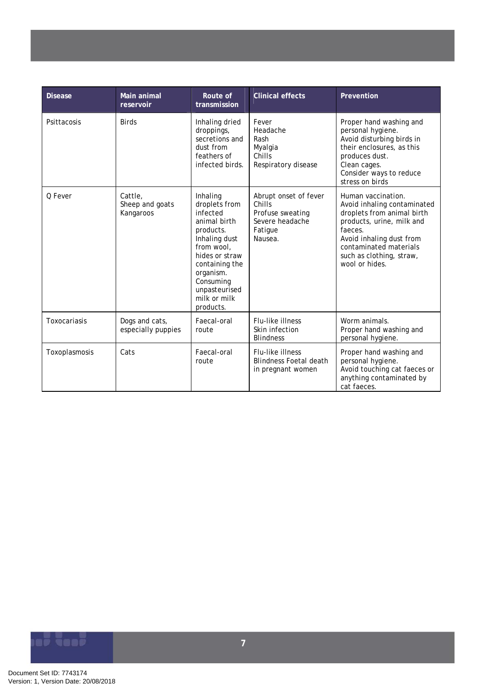| <b>Disease</b> | Main animal<br>reservoir                | Route of<br>transmission                                                                                                                                                                                      | <b>Clinical effects</b>                                                                      | Prevention                                                                                                                                                                                                                  |
|----------------|-----------------------------------------|---------------------------------------------------------------------------------------------------------------------------------------------------------------------------------------------------------------|----------------------------------------------------------------------------------------------|-----------------------------------------------------------------------------------------------------------------------------------------------------------------------------------------------------------------------------|
| Psittacosis    | <b>Birds</b>                            | Inhaling dried<br>droppings,<br>secretions and<br>dust from<br>feathers of<br>infected birds.                                                                                                                 | Fever<br>Headache<br>Rash<br>Myalgia<br>Chills<br>Respiratory disease                        | Proper hand washing and<br>personal hygiene.<br>Avoid disturbing birds in<br>their enclosures, as this<br>produces dust.<br>Clean cages.<br>Consider ways to reduce<br>stress on birds                                      |
| O Fever        | Cattle,<br>Sheep and goats<br>Kangaroos | Inhaling<br>droplets from<br>infected<br>animal birth<br>products.<br>Inhaling dust<br>from wool,<br>hides or straw<br>containing the<br>organism.<br>Consuming<br>unpasteurised<br>milk or milk<br>products. | Abrupt onset of fever<br>Chills<br>Profuse sweating<br>Severe headache<br>Fatigue<br>Nausea. | Human vaccination.<br>Avoid inhaling contaminated<br>droplets from animal birth<br>products, urine, milk and<br>faeces.<br>Avoid inhaling dust from<br>contaminated materials<br>such as clothing, straw,<br>wool or hides. |
| Toxocariasis   | Dogs and cats,<br>especially puppies    | Faecal-oral<br>route                                                                                                                                                                                          | Flu-like illness<br>Skin infection<br><b>Blindness</b>                                       | Worm animals.<br>Proper hand washing and<br>personal hygiene.                                                                                                                                                               |
| Toxoplasmosis  | Cats                                    | Faecal-oral<br>route                                                                                                                                                                                          | Flu-like illness<br><b>Blindness Foetal death</b><br>in pregnant women                       | Proper hand washing and<br>personal hygiene.<br>Avoid touching cat faeces or<br>anything contaminated by<br>cat faeces.                                                                                                     |

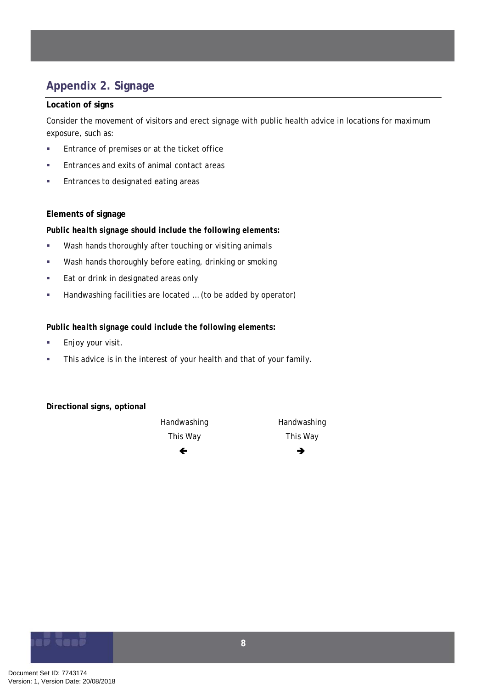# <span id="page-12-0"></span>**Appendix 2. Signage**

#### **Location of signs**

Consider the movement of visitors and erect signage with public health advice in locations for maximum exposure, such as:

- **Entrance of premises or at the ticket office**
- **Entrances and exits of animal contact areas**
- **Entrances to designated eating areas**

#### **Elements of signage**

#### *Public health signage should include the following elements:*

- **Wash hands thoroughly after touching or visiting animals**
- **Wash hands thoroughly before eating, drinking or smoking**
- **Eat or drink in designated areas only**
- Handwashing facilities are located … (to be added by operator)

#### *Public health signage could include the following elements:*

- **Enjoy your visit.**
- **This advice is in the interest of your health and that of your family.**

#### **Directional signs, optional**



This Way This Way **←** <del>→</del>

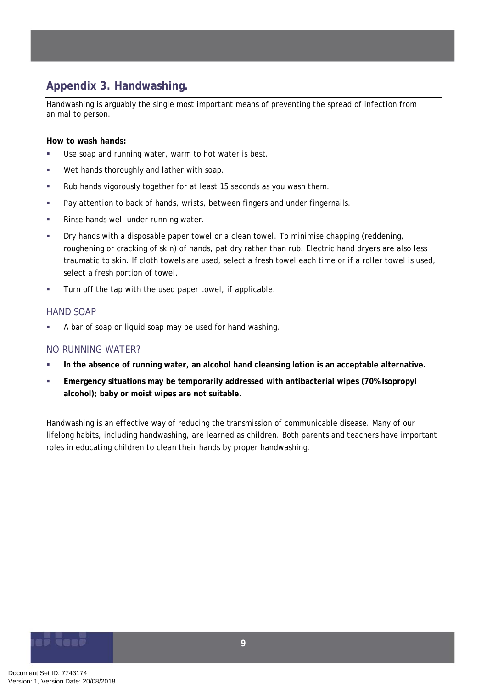# <span id="page-13-0"></span>**Appendix 3. Handwashing.**

Handwashing is arguably the single most important means of preventing the spread of infection from animal to person.

#### **How to wash hands:**

- Use soap and running water, warm to hot water is best.
- **Wet hands thoroughly and lather with soap.**
- Rub hands vigorously together for at least 15 seconds as you wash them.
- Pay attention to back of hands, wrists, between fingers and under fingernails.
- **Rinse hands well under running water.**
- Dry hands with a disposable paper towel or a clean towel. To minimise chapping (reddening, roughening or cracking of skin) of hands, pat dry rather than rub. Electric hand dryers are also less traumatic to skin. If cloth towels are used, select a fresh towel each time or if a roller towel is used, select a fresh portion of towel.
- **Turn off the tap with the used paper towel, if applicable.**

#### HAND SOAP

A bar of soap or liquid soap may be used for hand washing.

#### NO RUNNING WATER?

- **In the absence of running water, an alcohol hand cleansing lotion is an acceptable alternative.**
- **Emergency situations may be temporarily addressed with antibacterial wipes (70% Isopropyl) alcohol); baby or moist wipes are not suitable.**

Handwashing is an effective way of reducing the transmission of communicable disease. Many of our lifelong habits, including handwashing, are learned as children. Both parents and teachers have important roles in educating children to clean their hands by proper handwashing.

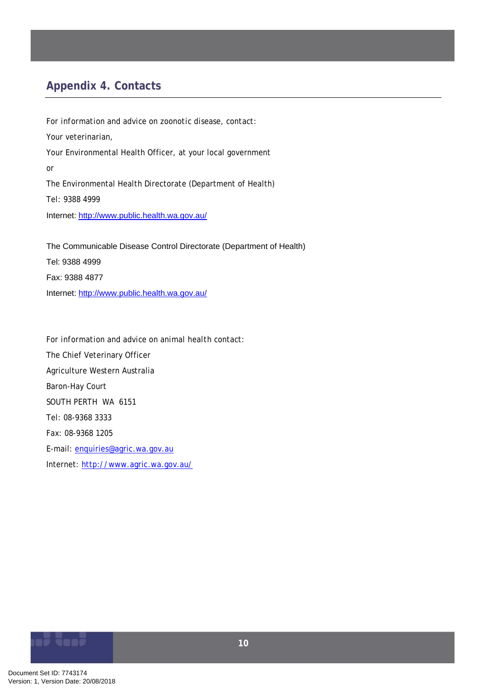# <span id="page-14-0"></span>**Appendix 4. Contacts**

*For information and advice on zoonotic disease, contact:*  Your veterinarian, Your Environmental Health Officer, at your local government or The Environmental Health Directorate (Department of Health) Tel: 9388 4999 Internet:<http://www.public.health.wa.gov.au/>

The Communicable Disease Control Directorate (Department of Health) Tel: 9388 4999 Fax: 9388 4877 Internet:<http://www.public.health.wa.gov.au/>

*For information and advice on animal health contact:* The Chief Veterinary Officer Agriculture Western Australia Baron-Hay Court SOUTH PERTH WA 6151 Tel: 08-9368 3333 Fax: 08-9368 1205 E-mail: [enquiries@agric.wa.gov.au](mailto:enquiries@agric.wa.gov.au) Internet: <http://www.agric.wa.gov.au/>

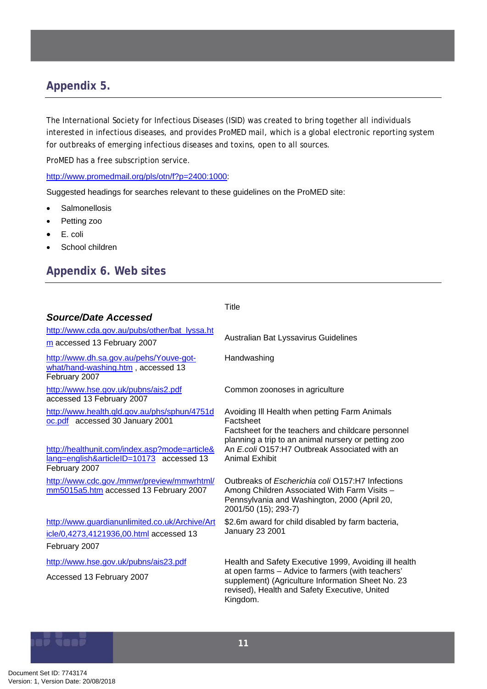# <span id="page-15-0"></span>**Appendix 5.**

The International Society for Infectious Diseases (ISID) was created to bring together all individuals interested in infectious diseases, and provides ProMED mail, which is a global electronic reporting system for outbreaks of emerging infectious diseases and toxins, open to all sources.

ProMED has a free subscription service.

#### [http://www.promedmail.org/pls/otn/f?p=2400:1000:](http://www.promedmail.org/pls/otn/f?p=2400:1000)

Suggested headings for searches relevant to these guidelines on the ProMED site:

- Salmonellosis
- Petting zoo
- E. coli
- School children

### **Appendix 6. Web sites**

|                                                                                                            | Title                                                                                                                                                                                                                        |
|------------------------------------------------------------------------------------------------------------|------------------------------------------------------------------------------------------------------------------------------------------------------------------------------------------------------------------------------|
| Source/Date Accessed                                                                                       |                                                                                                                                                                                                                              |
| http://www.cda.gov.au/pubs/other/bat_lyssa.ht<br>m accessed 13 February 2007                               | Australian Bat Lyssavirus Guidelines                                                                                                                                                                                         |
| http://www.dh.sa.gov.au/pehs/Youve-got-<br>what/hand-washing.htm, accessed 13<br>February 2007             | Handwashing                                                                                                                                                                                                                  |
| http://www.hse.gov.uk/pubns/ais2.pdf<br>accessed 13 February 2007                                          | Common zoonoses in agriculture                                                                                                                                                                                               |
| http://www.health.qld.gov.au/phs/sphun/4751d<br>oc.pdf accessed 30 January 2001                            | Avoiding III Health when petting Farm Animals<br>Factsheet<br>Factsheet for the teachers and childcare personnel<br>planning a trip to an animal nursery or petting zoo                                                      |
| http://healthunit.com/index.asp?mode=article&<br>lang=english&articleID=10173 accessed 13<br>February 2007 | An E.coli O157:H7 Outbreak Associated with an<br>Animal Exhibit                                                                                                                                                              |
| http://www.cdc.gov./mmwr/preview/mmwrhtml/<br>mm5015a5.htm accessed 13 February 2007                       | Outbreaks of Escherichia coli O157:H7 Infections<br>Among Children Associated With Farm Visits -<br>Pennsylvania and Washington, 2000 (April 20,<br>2001/50 (15); 293-7)                                                     |
| http://www.guardianunlimited.co.uk/Archive/Art<br>icle/0,4273,4121936,00.html accessed 13<br>February 2007 | \$2.6m award for child disabled by farm bacteria,<br><b>January 23 2001</b>                                                                                                                                                  |
|                                                                                                            |                                                                                                                                                                                                                              |
| http://www.hse.gov.uk/pubns/ais23.pdf<br>Accessed 13 February 2007                                         | Health and Safety Executive 1999, Avoiding ill health<br>at open farms - Advice to farmers (with teachers'<br>supplement) (Agriculture Information Sheet No. 23<br>revised), Health and Safety Executive, United<br>Kingdom. |

# Gani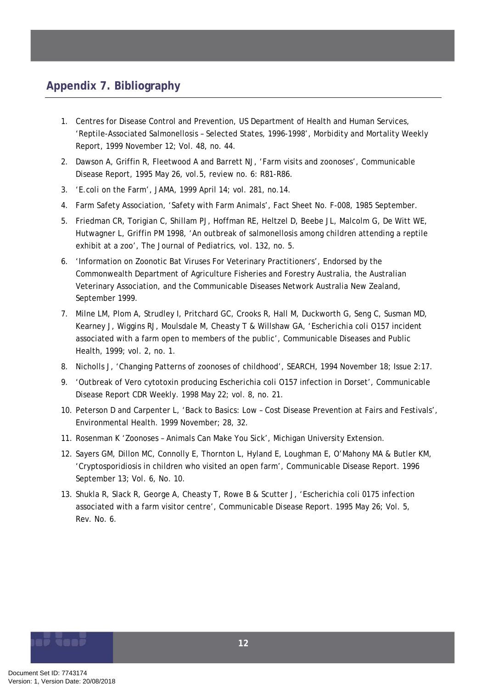# <span id="page-16-0"></span>**Appendix 7. Bibliography**

- 1. Centres for Disease Control and Prevention, US Department of Health and Human Services, 'Reptile-Associated Salmonellosis – Selected States, 1996-1998', Morbidity and Mortality Weekly Report, 1999 November 12; Vol. 48, no. 44.
- 2. Dawson A, Griffin R, Fleetwood A and Barrett NJ, 'Farm visits and zoonoses', Communicable Disease Report, 1995 May 26, vol.5, review no. 6: R81-R86.
- 3. '*E.coli* on the Farm', JAMA, 1999 April 14; vol. 281, no.14.
- 4. Farm Safety Association, 'Safety with Farm Animals', Fact Sheet No. F-008, 1985 September.
- 5. Friedman CR, Torigian C, Shillam PJ, Hoffman RE, Heltzel D, Beebe JL, Malcolm G, De Witt WE, Hutwagner L, Griffin PM 1998, 'An outbreak of salmonellosis among children attending a reptile exhibit at a zoo', The Journal of Pediatrics, vol. 132, no. 5.
- 6. 'Information on Zoonotic Bat Viruses For Veterinary Practitioners', Endorsed by the Commonwealth Department of Agriculture Fisheries and Forestry Australia, the Australian Veterinary Association, and the Communicable Diseases Network Australia New Zealand, September 1999.
- 7. Milne LM, Plom A, Strudley I, Pritchard GC, Crooks R, Hall M, Duckworth G, Seng C, Susman MD, Kearney J, Wiggins RJ, Moulsdale M, Cheasty T & Willshaw GA, '*Escherichia coli* O157 incident associated with a farm open to members of the public', Communicable Diseases and Public Health, 1999; vol. 2, no. 1.
- 8. Nicholls J, 'Changing Patterns of zoonoses of childhood', SEARCH, 1994 November 18; Issue 2:17.
- 9. 'Outbreak of Vero cytotoxin producing *Escherichia coli* O157 infection in Dorset', Communicable Disease Report CDR Weekly. 1998 May 22; vol. 8, no. 21.
- 10. Peterson D and Carpenter L, 'Back to Basics: Low Cost Disease Prevention at Fairs and Festivals', Environmental Health. 1999 November; 28, 32.
- 11. Rosenman K 'Zoonoses Animals Can Make You Sick', Michigan University Extension.
- 12. Sayers GM, Dillon MC, Connolly E, Thornton L, Hyland E, Loughman E, O'Mahony MA & Butler KM, 'Cryptosporidiosis in children who visited an open farm', Communicable Disease Report. 1996 September 13; Vol. 6, No. 10.
- 13. Shukla R, Slack R, George A, Cheasty T, Rowe B & Scutter J, 'Escherichia coli 0175 infection associated with a farm visitor centre', *Communicable Disease Report*. 1995 May 26; Vol. 5, Rev. No. 6.